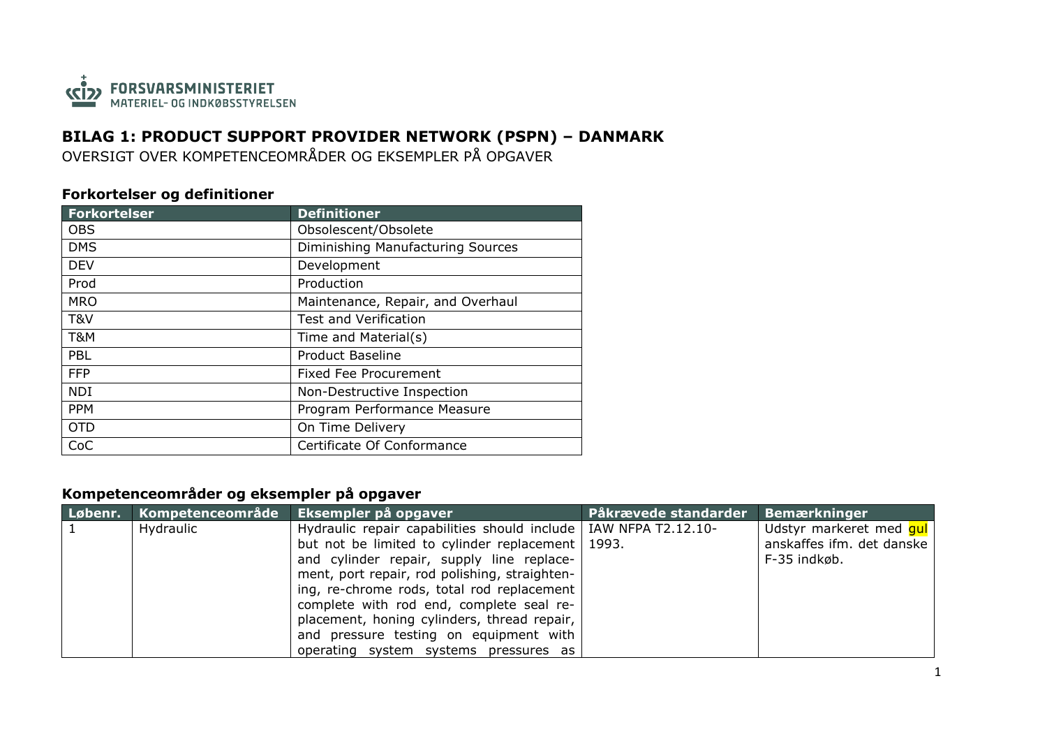

## **BILAG 1: PRODUCT SUPPORT PROVIDER NETWORK (PSPN) – DANMARK**

OVERSIGT OVER KOMPETENCEOMRÅDER OG EKSEMPLER PÅ OPGAVER

## **Forkortelser og definitioner**

| <b>Forkortelser</b> | <b>Definitioner</b>               |
|---------------------|-----------------------------------|
| <b>OBS</b>          | Obsolescent/Obsolete              |
| <b>DMS</b>          | Diminishing Manufacturing Sources |
| <b>DEV</b>          | Development                       |
| Prod                | Production                        |
| <b>MRO</b>          | Maintenance, Repair, and Overhaul |
| T&V                 | <b>Test and Verification</b>      |
| T&M                 | Time and Material(s)              |
| PBL                 | <b>Product Baseline</b>           |
| <b>FFP</b>          | Fixed Fee Procurement             |
| <b>NDI</b>          | Non-Destructive Inspection        |
| <b>PPM</b>          | Program Performance Measure       |
| <b>OTD</b>          | On Time Delivery                  |
| CoC                 | Certificate Of Conformance        |

## **Kompetenceområder og eksempler på opgaver**

| Løbenr. | Kompetenceområde ' | Eksempler på opgaver                                              | Påkrævede standarder | Bemærkninger              |
|---------|--------------------|-------------------------------------------------------------------|----------------------|---------------------------|
|         | Hydraulic          | Hydraulic repair capabilities should include   IAW NFPA T2.12.10- |                      | Udstyr markeret med qul   |
|         |                    | but not be limited to cylinder replacement   1993.                |                      | anskaffes ifm. det danske |
|         |                    | and cylinder repair, supply line replace-                         |                      | F-35 indkøb.              |
|         |                    | ment, port repair, rod polishing, straighten-                     |                      |                           |
|         |                    | ing, re-chrome rods, total rod replacement                        |                      |                           |
|         |                    | complete with rod end, complete seal re-                          |                      |                           |
|         |                    | placement, honing cylinders, thread repair,                       |                      |                           |
|         |                    | and pressure testing on equipment with                            |                      |                           |
|         |                    | operating system systems pressures as                             |                      |                           |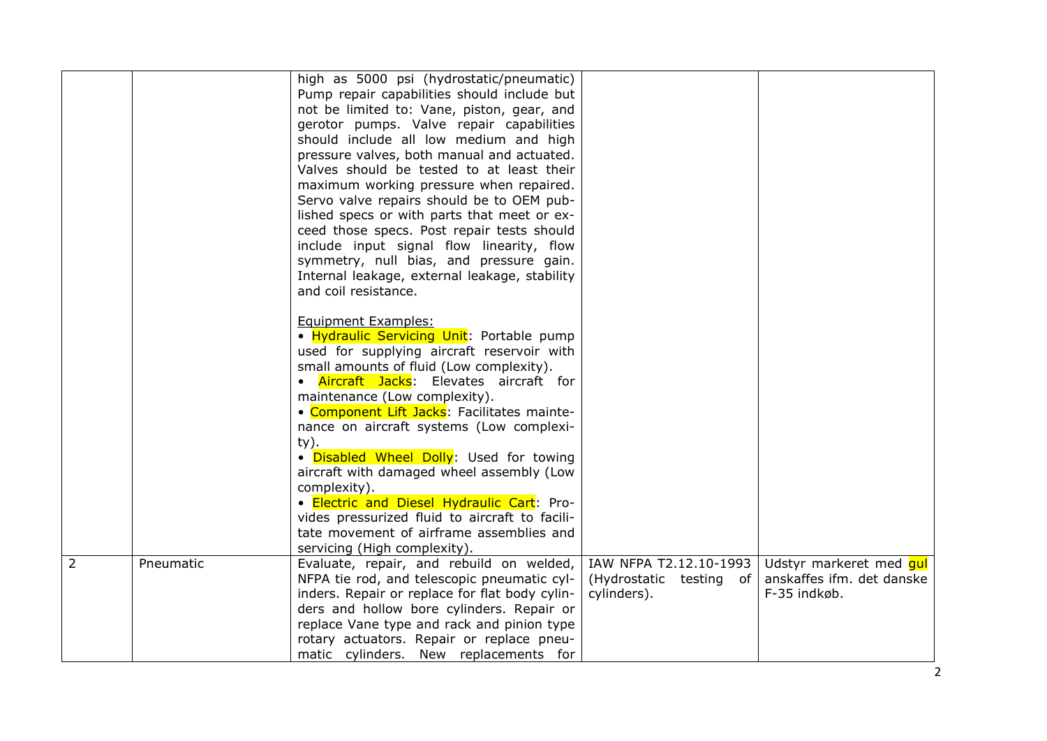|   |           | high as 5000 psi (hydrostatic/pneumatic)<br>Pump repair capabilities should include but<br>not be limited to: Vane, piston, gear, and<br>gerotor pumps. Valve repair capabilities<br>should include all low medium and high<br>pressure valves, both manual and actuated.<br>Valves should be tested to at least their<br>maximum working pressure when repaired.<br>Servo valve repairs should be to OEM pub-<br>lished specs or with parts that meet or ex-<br>ceed those specs. Post repair tests should<br>include input signal flow linearity, flow<br>symmetry, null bias, and pressure gain.<br>Internal leakage, external leakage, stability<br>and coil resistance.<br><b>Equipment Examples:</b><br>· Hydraulic Servicing Unit: Portable pump |                                                   |                                                      |
|---|-----------|---------------------------------------------------------------------------------------------------------------------------------------------------------------------------------------------------------------------------------------------------------------------------------------------------------------------------------------------------------------------------------------------------------------------------------------------------------------------------------------------------------------------------------------------------------------------------------------------------------------------------------------------------------------------------------------------------------------------------------------------------------|---------------------------------------------------|------------------------------------------------------|
|   |           | used for supplying aircraft reservoir with<br>small amounts of fluid (Low complexity).                                                                                                                                                                                                                                                                                                                                                                                                                                                                                                                                                                                                                                                                  |                                                   |                                                      |
|   |           | • Aircraft Jacks: Elevates aircraft for<br>maintenance (Low complexity).                                                                                                                                                                                                                                                                                                                                                                                                                                                                                                                                                                                                                                                                                |                                                   |                                                      |
|   |           | • Component Lift Jacks: Facilitates mainte-<br>nance on aircraft systems (Low complexi-                                                                                                                                                                                                                                                                                                                                                                                                                                                                                                                                                                                                                                                                 |                                                   |                                                      |
|   |           | ty).<br>. Disabled Wheel Dolly: Used for towing                                                                                                                                                                                                                                                                                                                                                                                                                                                                                                                                                                                                                                                                                                         |                                                   |                                                      |
|   |           | aircraft with damaged wheel assembly (Low<br>complexity).                                                                                                                                                                                                                                                                                                                                                                                                                                                                                                                                                                                                                                                                                               |                                                   |                                                      |
|   |           | · Electric and Diesel Hydraulic Cart: Pro-<br>vides pressurized fluid to aircraft to facili-                                                                                                                                                                                                                                                                                                                                                                                                                                                                                                                                                                                                                                                            |                                                   |                                                      |
|   |           | tate movement of airframe assemblies and<br>servicing (High complexity).                                                                                                                                                                                                                                                                                                                                                                                                                                                                                                                                                                                                                                                                                |                                                   |                                                      |
| 2 | Pneumatic | Evaluate, repair, and rebuild on welded,<br>NFPA tie rod, and telescopic pneumatic cyl-                                                                                                                                                                                                                                                                                                                                                                                                                                                                                                                                                                                                                                                                 | IAW NFPA T2.12.10-1993<br>(Hydrostatic testing of | Udstyr markeret med qul<br>anskaffes ifm. det danske |
|   |           | inders. Repair or replace for flat body cylin-<br>ders and hollow bore cylinders. Repair or                                                                                                                                                                                                                                                                                                                                                                                                                                                                                                                                                                                                                                                             | cylinders).                                       | F-35 indkøb.                                         |
|   |           | replace Vane type and rack and pinion type<br>rotary actuators. Repair or replace pneu-                                                                                                                                                                                                                                                                                                                                                                                                                                                                                                                                                                                                                                                                 |                                                   |                                                      |
|   |           | matic cylinders. New replacements for                                                                                                                                                                                                                                                                                                                                                                                                                                                                                                                                                                                                                                                                                                                   |                                                   |                                                      |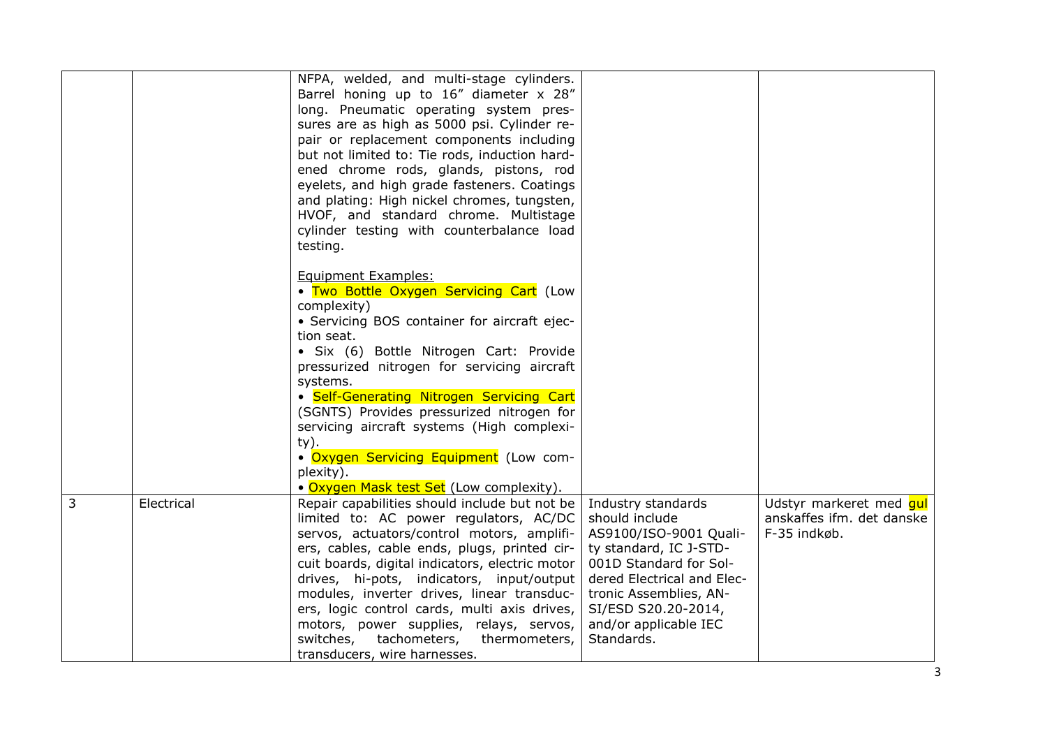|   |            | NFPA, welded, and multi-stage cylinders.<br>Barrel honing up to 16" diameter x 28"<br>long. Pneumatic operating system pres-<br>sures are as high as 5000 psi. Cylinder re-<br>pair or replacement components including<br>but not limited to: Tie rods, induction hard-<br>ened chrome rods, glands, pistons, rod<br>eyelets, and high grade fasteners. Coatings<br>and plating: High nickel chromes, tungsten,<br>HVOF, and standard chrome. Multistage<br>cylinder testing with counterbalance load<br>testing.                                       |                                                                                                                                                                                                                                          |                                                                      |
|---|------------|----------------------------------------------------------------------------------------------------------------------------------------------------------------------------------------------------------------------------------------------------------------------------------------------------------------------------------------------------------------------------------------------------------------------------------------------------------------------------------------------------------------------------------------------------------|------------------------------------------------------------------------------------------------------------------------------------------------------------------------------------------------------------------------------------------|----------------------------------------------------------------------|
|   |            | Equipment Examples:<br>• Two Bottle Oxygen Servicing Cart (Low<br>complexity)<br>• Servicing BOS container for aircraft ejec-<br>tion seat.<br>· Six (6) Bottle Nitrogen Cart: Provide<br>pressurized nitrogen for servicing aircraft<br>systems.<br>• Self-Generating Nitrogen Servicing Cart<br>(SGNTS) Provides pressurized nitrogen for<br>servicing aircraft systems (High complexi-<br>$ty)$ .<br>. Oxygen Servicing Equipment (Low com-<br>plexity).                                                                                              |                                                                                                                                                                                                                                          |                                                                      |
| 3 | Electrical | • Oxygen Mask test Set (Low complexity).<br>Repair capabilities should include but not be<br>limited to: AC power regulators, AC/DC<br>servos, actuators/control motors, amplifi-<br>ers, cables, cable ends, plugs, printed cir-<br>cuit boards, digital indicators, electric motor<br>drives, hi-pots, indicators, input/output<br>modules, inverter drives, linear transduc-<br>ers, logic control cards, multi axis drives,<br>motors, power supplies, relays, servos,<br>tachometers,<br>switches,<br>thermometers,<br>transducers, wire harnesses. | Industry standards<br>should include<br>AS9100/ISO-9001 Quali-<br>ty standard, IC J-STD-<br>001D Standard for Sol-<br>dered Electrical and Elec-<br>tronic Assemblies, AN-<br>SI/ESD S20.20-2014,<br>and/or applicable IEC<br>Standards. | Udstyr markeret med qui<br>anskaffes ifm. det danske<br>F-35 indkøb. |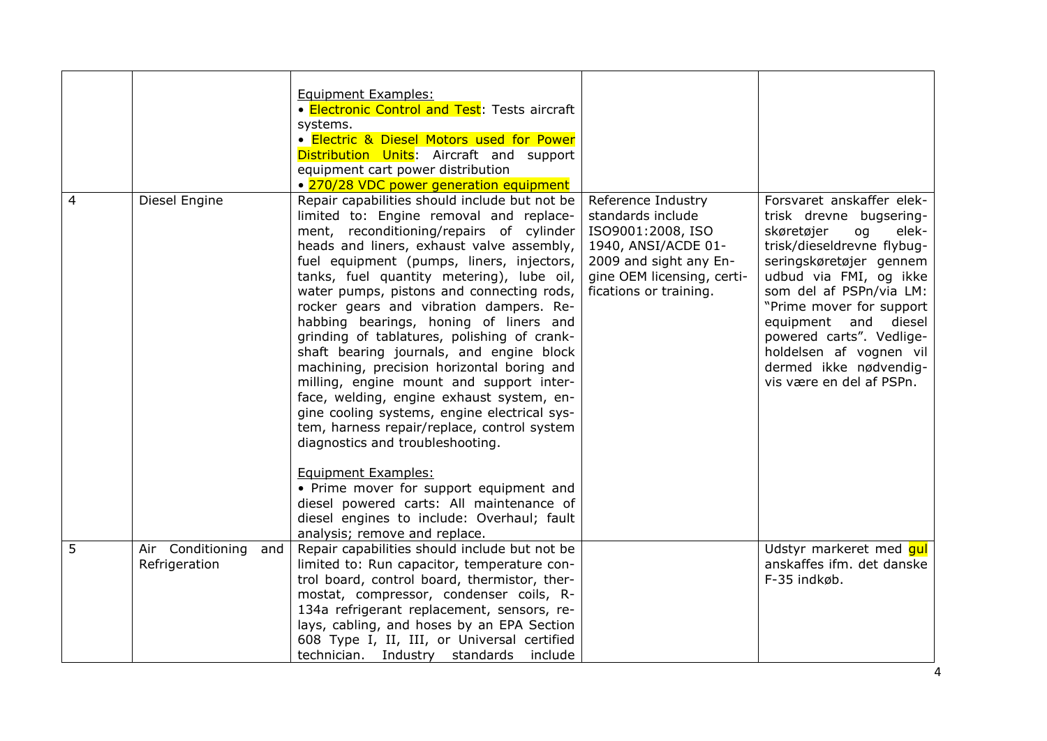| 4 | Diesel Engine                            | <b>Equipment Examples:</b><br>• Electronic Control and Test: Tests aircraft<br>systems.<br>· Electric & Diesel Motors used for Power<br>Distribution Units: Aircraft and support<br>equipment cart power distribution<br>• 270/28 VDC power generation equipment<br>Repair capabilities should include but not be<br>limited to: Engine removal and replace-<br>ment, reconditioning/repairs of cylinder<br>heads and liners, exhaust valve assembly,<br>fuel equipment (pumps, liners, injectors,<br>tanks, fuel quantity metering), lube oil,<br>water pumps, pistons and connecting rods,<br>rocker gears and vibration dampers. Re-<br>habbing bearings, honing of liners and<br>grinding of tablatures, polishing of crank-<br>shaft bearing journals, and engine block<br>machining, precision horizontal boring and<br>milling, engine mount and support inter-<br>face, welding, engine exhaust system, en-<br>gine cooling systems, engine electrical sys-<br>tem, harness repair/replace, control system<br>diagnostics and troubleshooting.<br><b>Equipment Examples:</b> | Reference Industry<br>standards include<br>ISO9001:2008, ISO<br>1940, ANSI/ACDE 01-<br>2009 and sight any En-<br>gine OEM licensing, certi-<br>fications or training. | Forsvaret anskaffer elek-<br>trisk drevne bugsering-<br>skøretøjer<br>elek-<br>og<br>trisk/dieseldrevne flybug-<br>seringskøretøjer gennem<br>udbud via FMI, og ikke<br>som del af PSPn/via LM:<br>"Prime mover for support<br>equipment and diesel<br>powered carts". Vedlige-<br>holdelsen af vognen vil<br>dermed ikke nødvendig-<br>vis være en del af PSPn. |
|---|------------------------------------------|--------------------------------------------------------------------------------------------------------------------------------------------------------------------------------------------------------------------------------------------------------------------------------------------------------------------------------------------------------------------------------------------------------------------------------------------------------------------------------------------------------------------------------------------------------------------------------------------------------------------------------------------------------------------------------------------------------------------------------------------------------------------------------------------------------------------------------------------------------------------------------------------------------------------------------------------------------------------------------------------------------------------------------------------------------------------------------------|-----------------------------------------------------------------------------------------------------------------------------------------------------------------------|------------------------------------------------------------------------------------------------------------------------------------------------------------------------------------------------------------------------------------------------------------------------------------------------------------------------------------------------------------------|
|   |                                          | • Prime mover for support equipment and<br>diesel powered carts: All maintenance of<br>diesel engines to include: Overhaul; fault                                                                                                                                                                                                                                                                                                                                                                                                                                                                                                                                                                                                                                                                                                                                                                                                                                                                                                                                                    |                                                                                                                                                                       |                                                                                                                                                                                                                                                                                                                                                                  |
|   |                                          | analysis; remove and replace.                                                                                                                                                                                                                                                                                                                                                                                                                                                                                                                                                                                                                                                                                                                                                                                                                                                                                                                                                                                                                                                        |                                                                                                                                                                       |                                                                                                                                                                                                                                                                                                                                                                  |
| 5 | Air Conditioning<br>and<br>Refrigeration | Repair capabilities should include but not be<br>limited to: Run capacitor, temperature con-                                                                                                                                                                                                                                                                                                                                                                                                                                                                                                                                                                                                                                                                                                                                                                                                                                                                                                                                                                                         |                                                                                                                                                                       | Udstyr markeret med qui<br>anskaffes ifm. det danske                                                                                                                                                                                                                                                                                                             |
|   |                                          |                                                                                                                                                                                                                                                                                                                                                                                                                                                                                                                                                                                                                                                                                                                                                                                                                                                                                                                                                                                                                                                                                      |                                                                                                                                                                       | F-35 indkøb.                                                                                                                                                                                                                                                                                                                                                     |
|   |                                          | trol board, control board, thermistor, ther-                                                                                                                                                                                                                                                                                                                                                                                                                                                                                                                                                                                                                                                                                                                                                                                                                                                                                                                                                                                                                                         |                                                                                                                                                                       |                                                                                                                                                                                                                                                                                                                                                                  |
|   |                                          | mostat, compressor, condenser coils, R-                                                                                                                                                                                                                                                                                                                                                                                                                                                                                                                                                                                                                                                                                                                                                                                                                                                                                                                                                                                                                                              |                                                                                                                                                                       |                                                                                                                                                                                                                                                                                                                                                                  |
|   |                                          | 134a refrigerant replacement, sensors, re-                                                                                                                                                                                                                                                                                                                                                                                                                                                                                                                                                                                                                                                                                                                                                                                                                                                                                                                                                                                                                                           |                                                                                                                                                                       |                                                                                                                                                                                                                                                                                                                                                                  |
|   |                                          | lays, cabling, and hoses by an EPA Section                                                                                                                                                                                                                                                                                                                                                                                                                                                                                                                                                                                                                                                                                                                                                                                                                                                                                                                                                                                                                                           |                                                                                                                                                                       |                                                                                                                                                                                                                                                                                                                                                                  |
|   |                                          | 608 Type I, II, III, or Universal certified                                                                                                                                                                                                                                                                                                                                                                                                                                                                                                                                                                                                                                                                                                                                                                                                                                                                                                                                                                                                                                          |                                                                                                                                                                       |                                                                                                                                                                                                                                                                                                                                                                  |
|   |                                          | technician. Industry standards include                                                                                                                                                                                                                                                                                                                                                                                                                                                                                                                                                                                                                                                                                                                                                                                                                                                                                                                                                                                                                                               |                                                                                                                                                                       |                                                                                                                                                                                                                                                                                                                                                                  |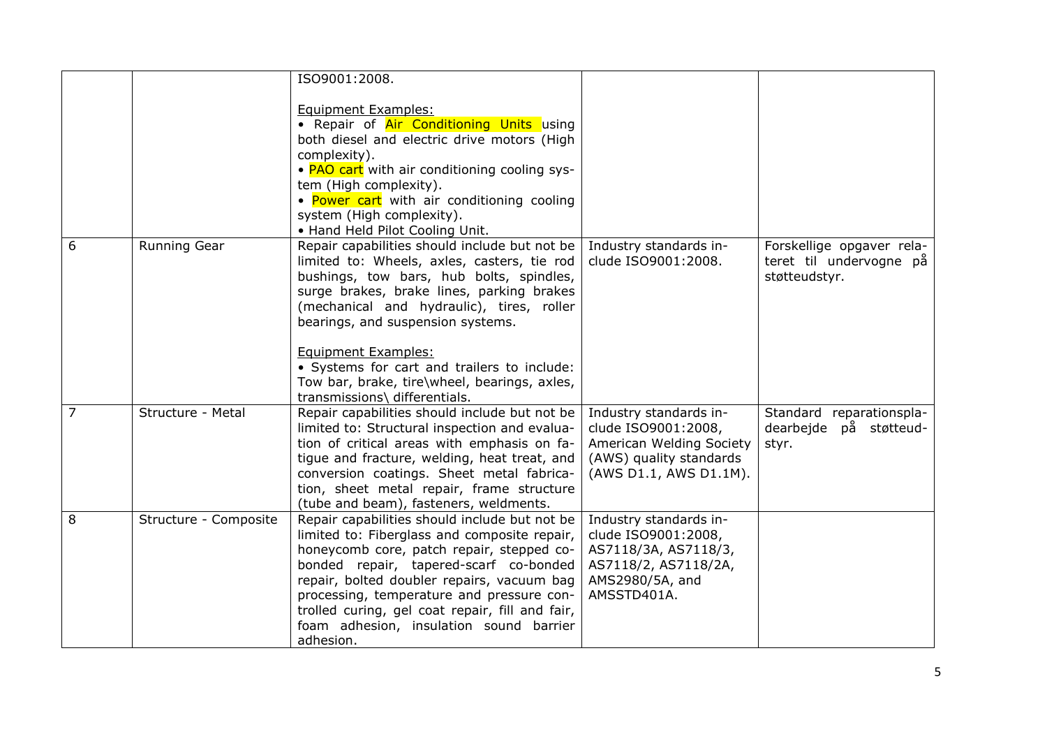|   |                       | ISO9001:2008.                                                                                                                                                                                                                                                                                                                                                                                 |                                                                                                                                 |                                                                       |
|---|-----------------------|-----------------------------------------------------------------------------------------------------------------------------------------------------------------------------------------------------------------------------------------------------------------------------------------------------------------------------------------------------------------------------------------------|---------------------------------------------------------------------------------------------------------------------------------|-----------------------------------------------------------------------|
|   |                       | Equipment Examples:<br>• Repair of Air Conditioning Units using<br>both diesel and electric drive motors (High<br>complexity).<br>• PAO cart with air conditioning cooling sys-<br>tem (High complexity).<br>• Power cart with air conditioning cooling<br>system (High complexity).<br>• Hand Held Pilot Cooling Unit.                                                                       |                                                                                                                                 |                                                                       |
| 6 | Running Gear          | Repair capabilities should include but not be<br>limited to: Wheels, axles, casters, tie rod<br>bushings, tow bars, hub bolts, spindles,<br>surge brakes, brake lines, parking brakes<br>(mechanical and hydraulic), tires, roller<br>bearings, and suspension systems.<br>Equipment Examples:<br>• Systems for cart and trailers to include:<br>Tow bar, brake, tire\wheel, bearings, axles, | Industry standards in-<br>clude ISO9001:2008.                                                                                   | Forskellige opgaver rela-<br>teret til undervogne på<br>støtteudstyr. |
| 7 | Structure - Metal     | transmissions\ differentials.<br>Repair capabilities should include but not be<br>limited to: Structural inspection and evalua-<br>tion of critical areas with emphasis on fa-<br>tigue and fracture, welding, heat treat, and<br>conversion coatings. Sheet metal fabrica-<br>tion, sheet metal repair, frame structure<br>(tube and beam), fasteners, weldments.                            | Industry standards in-<br>clude ISO9001:2008,<br>American Welding Society<br>(AWS) quality standards<br>(AWS D1.1, AWS D1.1M).  | Standard reparationspla-<br>dearbeide på støtteud-<br>styr.           |
| 8 | Structure - Composite | Repair capabilities should include but not be<br>limited to: Fiberglass and composite repair,<br>honeycomb core, patch repair, stepped co-<br>bonded repair, tapered-scarf co-bonded<br>repair, bolted doubler repairs, vacuum bag<br>processing, temperature and pressure con-<br>trolled curing, gel coat repair, fill and fair,<br>foam adhesion, insulation sound barrier<br>adhesion.    | Industry standards in-<br>clude ISO9001:2008,<br>AS7118/3A, AS7118/3,<br>AS7118/2, AS7118/2A,<br>AMS2980/5A, and<br>AMSSTD401A. |                                                                       |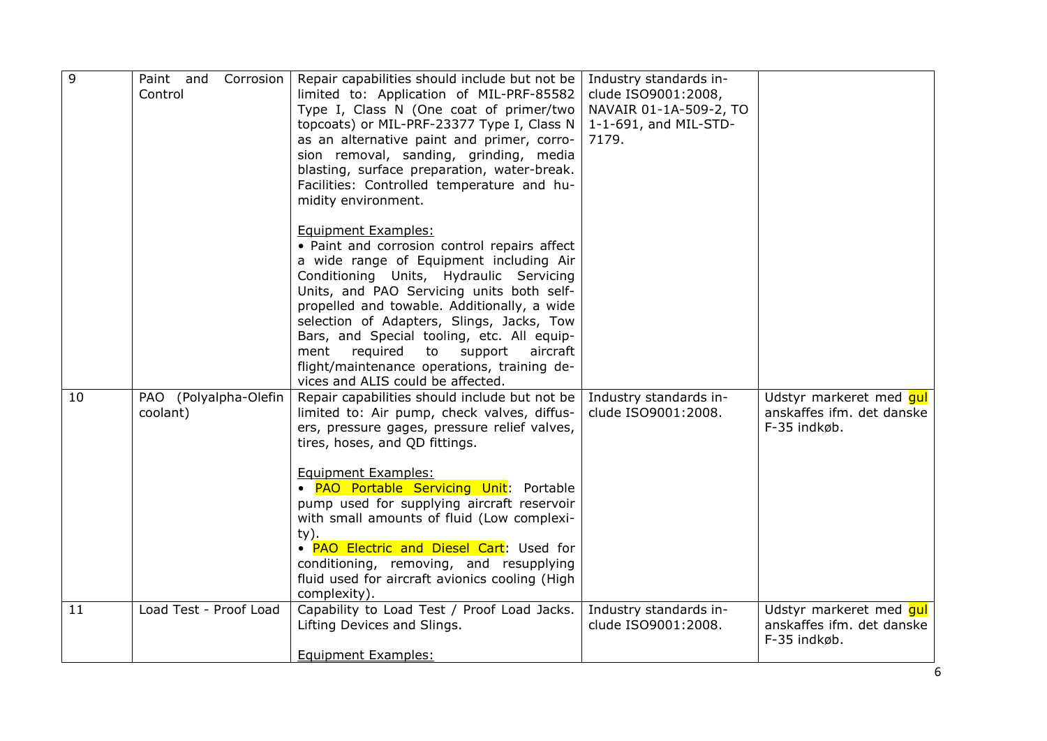| 9  | Paint and<br>Corrosion<br>Control | Repair capabilities should include but not be<br>limited to: Application of MIL-PRF-85582<br>Type I, Class N (One coat of primer/two<br>topcoats) or MIL-PRF-23377 Type I, Class N<br>as an alternative paint and primer, corro-<br>sion removal, sanding, grinding, media<br>blasting, surface preparation, water-break.<br>Facilities: Controlled temperature and hu-<br>midity environment.                                                                                                                   | Industry standards in-<br>clude ISO9001:2008,<br>NAVAIR 01-1A-509-2, TO<br>1-1-691, and MIL-STD-<br>7179. |                                                                      |
|----|-----------------------------------|------------------------------------------------------------------------------------------------------------------------------------------------------------------------------------------------------------------------------------------------------------------------------------------------------------------------------------------------------------------------------------------------------------------------------------------------------------------------------------------------------------------|-----------------------------------------------------------------------------------------------------------|----------------------------------------------------------------------|
|    |                                   | Equipment Examples:<br>• Paint and corrosion control repairs affect<br>a wide range of Equipment including Air<br>Conditioning Units, Hydraulic Servicing<br>Units, and PAO Servicing units both self-<br>propelled and towable. Additionally, a wide<br>selection of Adapters, Slings, Jacks, Tow<br>Bars, and Special tooling, etc. All equip-<br>required<br>to<br>support<br>aircraft<br>ment<br>flight/maintenance operations, training de-<br>vices and ALIS could be affected.                            |                                                                                                           |                                                                      |
| 10 | PAO (Polyalpha-Olefin<br>coolant) | Repair capabilities should include but not be<br>limited to: Air pump, check valves, diffus-<br>ers, pressure gages, pressure relief valves,<br>tires, hoses, and QD fittings.<br>Equipment Examples:<br>· PAO Portable Servicing Unit: Portable<br>pump used for supplying aircraft reservoir<br>with small amounts of fluid (Low complexi-<br>$ty)$ .<br>• PAO Electric and Diesel Cart: Used for<br>conditioning, removing, and resupplying<br>fluid used for aircraft avionics cooling (High<br>complexity). | Industry standards in-<br>clude ISO9001:2008.                                                             | Udstyr markeret med qul<br>anskaffes ifm. det danske<br>F-35 indkøb. |
| 11 | Load Test - Proof Load            | Capability to Load Test / Proof Load Jacks.<br>Lifting Devices and Slings.<br>Equipment Examples:                                                                                                                                                                                                                                                                                                                                                                                                                | Industry standards in-<br>clude ISO9001:2008.                                                             | Udstyr markeret med qul<br>anskaffes ifm. det danske<br>F-35 indkøb. |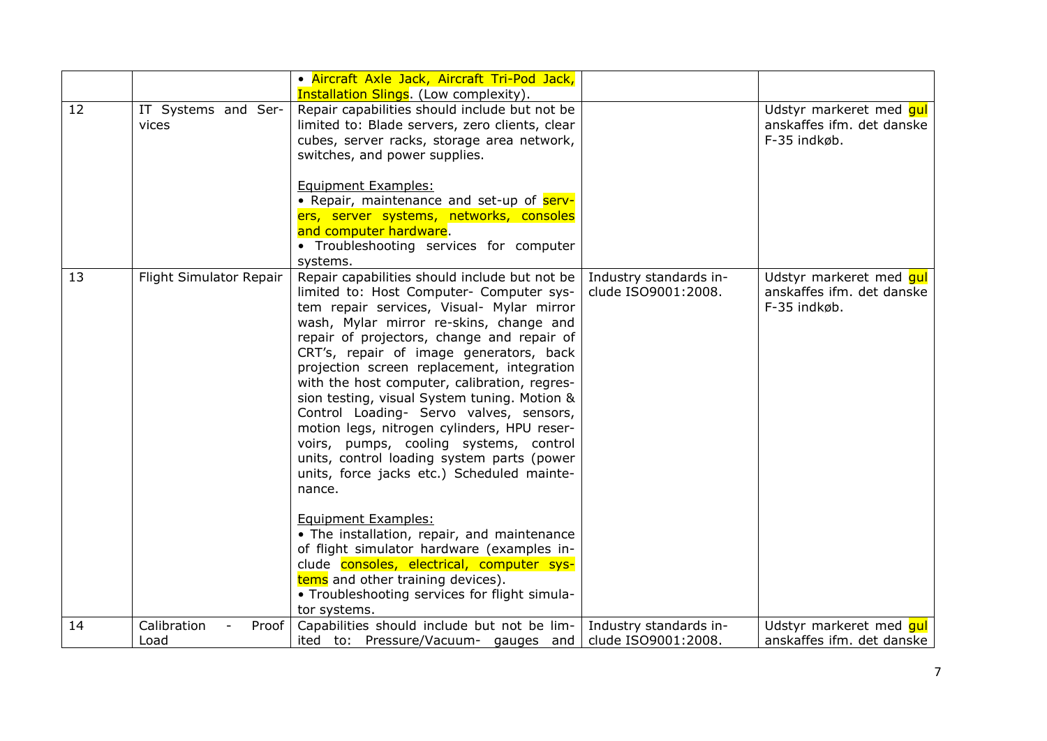|    |                              | · Aircraft Axle Jack, Aircraft Tri-Pod Jack,<br><b>Installation Slings.</b> (Low complexity).                                                                                                                                                                                                                                                                                                                                                                                                                                                                                                                                                                                             |                                               |                                                                      |
|----|------------------------------|-------------------------------------------------------------------------------------------------------------------------------------------------------------------------------------------------------------------------------------------------------------------------------------------------------------------------------------------------------------------------------------------------------------------------------------------------------------------------------------------------------------------------------------------------------------------------------------------------------------------------------------------------------------------------------------------|-----------------------------------------------|----------------------------------------------------------------------|
| 12 | IT Systems and Ser-<br>vices | Repair capabilities should include but not be<br>limited to: Blade servers, zero clients, clear<br>cubes, server racks, storage area network,<br>switches, and power supplies.                                                                                                                                                                                                                                                                                                                                                                                                                                                                                                            |                                               | Udstyr markeret med gul<br>anskaffes ifm. det danske<br>F-35 indkøb. |
|    |                              | Equipment Examples:<br>• Repair, maintenance and set-up of serv-<br>ers, server systems, networks, consoles<br>and computer hardware.<br>• Troubleshooting services for computer<br>systems.                                                                                                                                                                                                                                                                                                                                                                                                                                                                                              |                                               |                                                                      |
| 13 | Flight Simulator Repair      | Repair capabilities should include but not be<br>limited to: Host Computer- Computer sys-<br>tem repair services, Visual- Mylar mirror<br>wash, Mylar mirror re-skins, change and<br>repair of projectors, change and repair of<br>CRT's, repair of image generators, back<br>projection screen replacement, integration<br>with the host computer, calibration, regres-<br>sion testing, visual System tuning. Motion &<br>Control Loading- Servo valves, sensors,<br>motion legs, nitrogen cylinders, HPU reser-<br>voirs, pumps, cooling systems, control<br>units, control loading system parts (power<br>units, force jacks etc.) Scheduled mainte-<br>nance.<br>Equipment Examples: | Industry standards in-<br>clude ISO9001:2008. | Udstyr markeret med qul<br>anskaffes ifm. det danske<br>F-35 indkøb. |
|    |                              | • The installation, repair, and maintenance<br>of flight simulator hardware (examples in-<br>clude consoles, electrical, computer sys-<br>tems and other training devices).<br>• Troubleshooting services for flight simula-<br>tor systems.                                                                                                                                                                                                                                                                                                                                                                                                                                              |                                               |                                                                      |
| 14 | Calibration<br>Proof<br>Load | Capabilities should include but not be lim-<br>ited to: Pressure/Vacuum- gauges and                                                                                                                                                                                                                                                                                                                                                                                                                                                                                                                                                                                                       | Industry standards in-<br>clude ISO9001:2008. | Udstyr markeret med gul<br>anskaffes ifm. det danske                 |